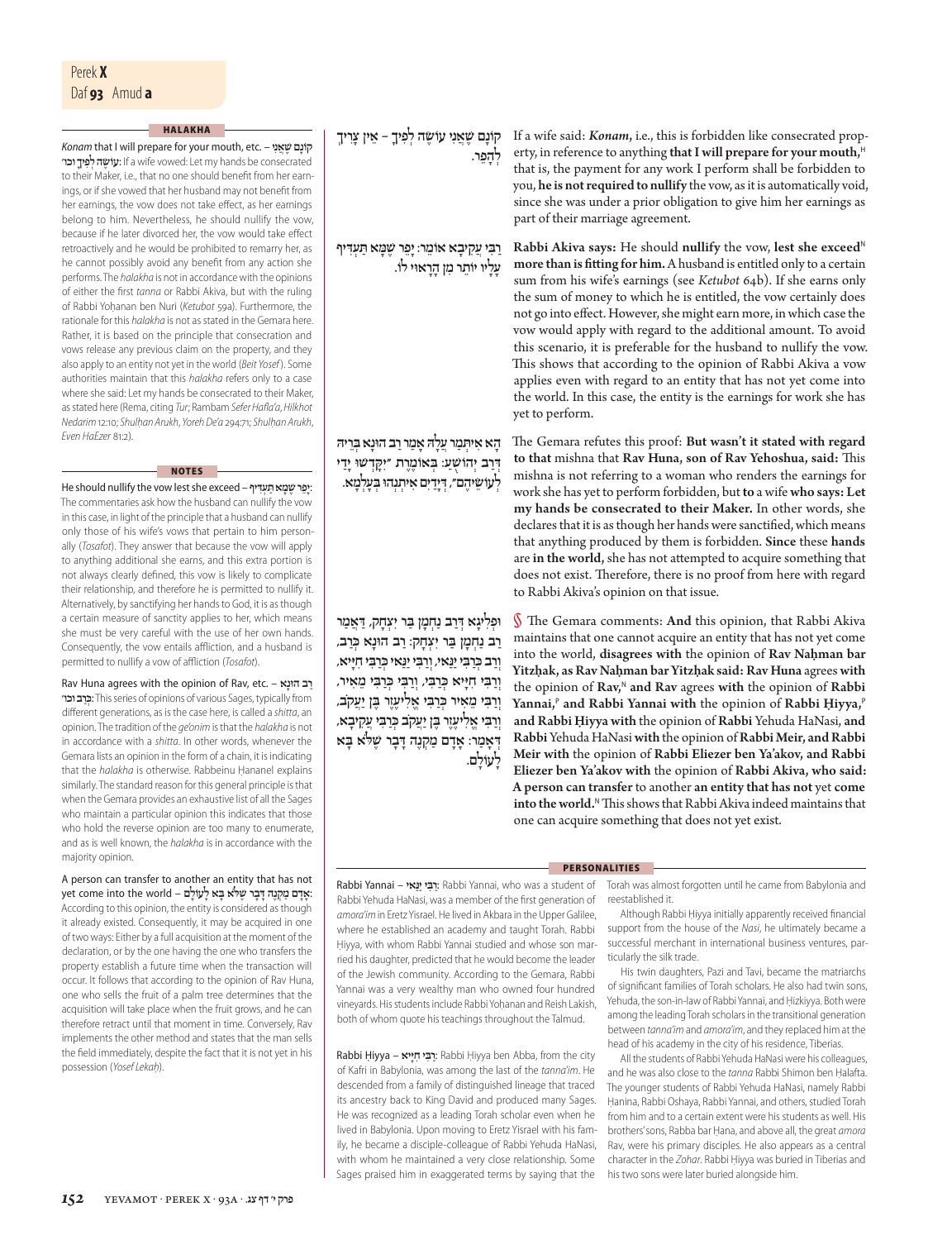# Perek **X** Daf **93** Amud **a**

## **HALAKHA**

*Konam* that I will prepare for your mouth, etc. – **ניִאֲשֶׁ קוֹנםָ וכו׳ יךָ פִ לְ עוֹשה ֶׂ** : If a wife vowed: Let my hands be consecrated to their Maker, i.e., that no one should benefit from her earnings, or if she vowed that her husband may not benefit from her earnings, the vow does not take effect, as her earnings belong to him. Nevertheless, he should nullify the vow, because if he later divorced her, the vow would take effect retroactively and he would be prohibited to remarry her, as he cannot possibly avoid any benefit from any action she performs. The *halakha* is not in accordance with the opinions of either the first *tanna* or Rabbi Akiva, but with the ruling of Rabbi Yoĥanan ben Nuri (*Ketubot* 59a). Furthermore, the rationale for this *halakha* is not as stated in the Gemara here. Rather, it is based on the principle that consecration and vows release any previous claim on the property, and they also apply to an entity not yet in the world (*Beit Yosef* ). Some authorities maintain that this *halakha* refers only to a case where she said: Let my hands be consecrated to their Maker, as stated here (Rema, citing *Tur*; Rambam *Sefer Hafla'a*, *Hilkhot Nedarim* 12:10; *Shulĥan Arukh*, *Yoreh De'a* 294:71; *Shulĥan Arukh*, *Even HaEzer* 81:2).

### **NOTES**

 He should nullify the vow lest she exceed – **דיףּ ִעְתַּ מאָּשֶׁ פרֵיָ**: The commentaries ask how the husband can nullify the vow in this case, in light of the principle that a husband can nullify only those of his wife's vows that pertain to him personally (*Tosafot*). They answer that because the vow will apply to anything additional she earns, and this extra portion is not always clearly defined, this vow is likely to complicate their relationship, and therefore he is permitted to nullify it. Alternatively, by sanctifying her hands to God, it is as though a certain measure of sanctity applies to her, which means she must be very careful with the use of her own hands. Consequently, the vow entails affliction, and a husband is permitted to nullify a vow of affliction (*Tosafot*).

 Rav Huna agrees with the opinion of Rav, etc. – **נאָהוּ רבַ ּכַרב וכו׳ ְ** : This series of opinions of various Sages, typically from different generations, as is the case here, is called a *shitta*, an opinion. The tradition of the *ge'onim* is that the *halakha* is not in accordance with a *shitta*. In other words, whenever the Gemara lists an opinion in the form of a chain, it is indicating that the *halakha* is otherwise. Rabbeinu Ĥananel explains similarly. The standard reason for this general principle is that when the Gemara provides an exhaustive list of all the Sages who maintain a particular opinion this indicates that those who hold the reverse opinion are too many to enumerate, and as is well known, the *halakha* is in accordance with the majority opinion.

 A person can transfer to another an entity that has not **ָ**:**אָדם ַמ ְקֶנהָּדָבר ֶׁשּלֹא ָּבא ָל ָעוֹלם** – world the into come yet According to this opinion, the entity is considered as though it already existed. Consequently, it may be acquired in one of two ways: Either by a full acquisition at the moment of the declaration, or by the one having the one who transfers the property establish a future time when the transaction will occur. It follows that according to the opinion of Rav Huna, one who sells the fruit of a palm tree determines that the acquisition will take place when the fruit grows, and he can therefore retract until that moment in time. Conversely, Rav implements the other method and states that the man sells the field immediately, despite the fact that it is not yet in his possession (*Yosef Lekaĥ*).

| קוֹנָם שֶׁאֲנִי עוֹשֶׂה לְפִיךָ – אֵין צָרִיךְ<br>לְהָפֵר.                                                                                                                                                                                                                                                                                                                                           | If a wife said: Konam, i.e., this is forbidden like consecrated prop-<br>erty, in reference to anything that I will prepare for your mouth, <sup>H</sup><br>that is, the payment for any work I perform shall be forbidden to<br>you, he is not required to nullify the vow, as it is automatically void,<br>since she was under a prior obligation to give him her earnings as<br>part of their marriage agreement.                                                                                                                                                                                                                                                                                                                                                                                                                                                                                              |
|------------------------------------------------------------------------------------------------------------------------------------------------------------------------------------------------------------------------------------------------------------------------------------------------------------------------------------------------------------------------------------------------------|-------------------------------------------------------------------------------------------------------------------------------------------------------------------------------------------------------------------------------------------------------------------------------------------------------------------------------------------------------------------------------------------------------------------------------------------------------------------------------------------------------------------------------------------------------------------------------------------------------------------------------------------------------------------------------------------------------------------------------------------------------------------------------------------------------------------------------------------------------------------------------------------------------------------|
| ַרַבִּי עֲקִיבָא אוֹמֵר: יָפֵר שֶׁמֲּא תַּעְדִּיף<br>עָלָיו יוֹתֵר מִן הָרָאוּי לו.                                                                                                                                                                                                                                                                                                                  | Rabbi Akiva says: He should nullify the vow, lest she exceed <sup>N</sup><br>more than is fitting for him. A husband is entitled only to a certain<br>sum from his wife's earnings (see Ketubot 64b). If she earns only<br>the sum of money to which he is entitled, the vow certainly does<br>not go into effect. However, she might earn more, in which case the<br>vow would apply with regard to the additional amount. To avoid<br>this scenario, it is preferable for the husband to nullify the vow.<br>This shows that according to the opinion of Rabbi Akiva a vow<br>applies even with regard to an entity that has not yet come into<br>the world. In this case, the entity is the earnings for work she has<br>yet to perform.                                                                                                                                                                       |
| הָא אִיתְמַר עֲלָהּ אָמַר וַב הוּנָא בְּרֵיה<br>דְּרַב יְהוֹשְׁעַ: בְּאוֹמֶרֶת "יִקְדְשׁוּ יָדֵי<br>לְעוֹשֵׂיהֶם", דְיָדַיִם אִיתְנְהוּ בְעָלְמָא.                                                                                                                                                                                                                                                   | The Gemara refutes this proof: But wasn't it stated with regard<br>to that mishna that Rav Huna, son of Rav Yehoshua, said: This<br>mishna is not referring to a woman who renders the earnings for<br>work she has yet to perform forbidden, but to a wife who says: Let<br>my hands be consecrated to their Maker. In other words, she<br>declares that it is as though her hands were sanctified, which means<br>that anything produced by them is forbidden. Since these hands<br>are in the world, she has not attempted to acquire something that<br>does not exist. Therefore, there is no proof from here with regard<br>to Rabbi Akiva's opinion on that issue.                                                                                                                                                                                                                                          |
| וּפִלִינָא דִּרַב נַחָמֶן בַּר יִצְחָק, דַּאֲמַר<br>רַב נַחְמָן בַּר יִצְחָק: רַב הוּנָא כְּרַב,<br>וְרַב כְּרַבְּי יַנַּאי, וְרַבְּי יַנַּאי כְּרַבְּי חָיָיא,<br>וְרַבִּי חִיָּיא כְּרַבִּי, וְרַבִּי כְּרַבִּי מֵאִיר,<br>וְרַבִּי מֵאִיר כְּרַבִּי אֱלִיעֶוֶר בֶּן יַעֲקֹב,<br>ַוְרַבִּי אֱלִיעֶוֶר בֶּן יַעֲקֹב כְּרַבִּי עֲקִיבָא,<br>דְּאָמַר: אָדָם מַקְנֶה דָּבָר שֶׁלֹּא בָּא<br>לְעוֹלָם. | The Gemara comments: And this opinion, that Rabbi Akiva<br>maintains that one cannot acquire an entity that has not yet come<br>into the world, disagrees with the opinion of Rav Nahman bar<br>Yitzḥak, as Rav Naḥman bar Yitzḥak said: Rav Huna agrees with<br>the opinion of Rav, <sup>N</sup> and Rav agrees with the opinion of Rabbi<br>Yannai, <sup>p</sup> and Rabbi Yannai with the opinion of Rabbi Ḥiyya, <sup>p</sup><br>and Rabbi Hiyya with the opinion of Rabbi Yehuda HaNasi, and<br>Rabbi Yehuda HaNasi with the opinion of Rabbi Meir, and Rabbi<br>Meir with the opinion of Rabbi Eliezer ben Ya'akov, and Rabbi<br>Eliezer ben Ya'akov with the opinion of Rabbi Akiva, who said:<br>A person can transfer to another an entity that has not yet come<br>into the world. <sup>N</sup> This shows that Rabbi Akiva indeed maintains that<br>one can acquire something that does not yet exist. |
|                                                                                                                                                                                                                                                                                                                                                                                                      | <b>PERSONALITIES</b>                                                                                                                                                                                                                                                                                                                                                                                                                                                                                                                                                                                                                                                                                                                                                                                                                                                                                              |
| Torah was almost forgotten until he came from Babylonia and<br><b>Rabbi Yannai – יְרִבְּי יַנָּאי</b> Rabbi Yannai, who was a student of<br>Rabbi Yehuda HaNasi, was a member of the first generation of<br>reestablished it.<br>Although Rabbi Ḥiyya initially apparently received financial<br>amora'im in Eretz Yisrael. He lived in Akbara in the Upper Galilee,                                 |                                                                                                                                                                                                                                                                                                                                                                                                                                                                                                                                                                                                                                                                                                                                                                                                                                                                                                                   |

where he established an academy and taught Torah. Rabbi Hiyya, with whom Rabbi Yannai studied and whose son married his daughter, predicted that he would become the leader of the Jewish community. According to the Gemara, Rabbi Yannai was a very wealthy man who owned four hundred vineyards. His students include Rabbi Yoĥanan and Reish Lakish, both of whom quote his teachings throughout the Talmud.

 Rabbi Ĥiyya – **יּיאָחִ ביִּרַ**: Rabbi Ĥiyya ben Abba, from the city of Kafri in Babylonia, was among the last of the *tanna'im*. He descended from a family of distinguished lineage that traced its ancestry back to King David and produced many Sages. He was recognized as a leading Torah scholar even when he lived in Babylonia. Upon moving to Eretz Yisrael with his family, he became a disciple-colleague of Rabbi Yehuda HaNasi, with whom he maintained a very close relationship. Some Sages praised him in exaggerated terms by saying that the

Although Rabbi Ḥiyya initially apparently received financial support from the house of the *Nasi*, he ultimately became a successful merchant in international business ventures, par-

ticularly the silk trade.

His twin daughters, Pazi and Tavi, became the matriarchs of significant families of Torah scholars. He also had twin sons, Yehuda, the son-in-law of Rabbi Yannai, and Ĥizkiyya. Both were among the leading Torah scholars in the transitional generation between *tanna'im* and *amora'im*, and they replaced him at the head of his academy in the city of his residence, Tiberias.

All the students of Rabbi Yehuda HaNasi were his colleagues, and he was also close to the *tanna* Rabbi Shimon ben Ĥalafta. The younger students of Rabbi Yehuda HaNasi, namely Rabbi Ĥanina, Rabbi Oshaya, Rabbi Yannai, and others, studied Torah from him and to a certain extent were his students as well. His brothers' sons, Rabba bar Ĥana, and above all, the great *amora* Rav, were his primary disciples. He also appears as a central character in the *Zohar*. Rabbi Ḥiyya was buried in Tiberias and his two sons were later buried alongside him.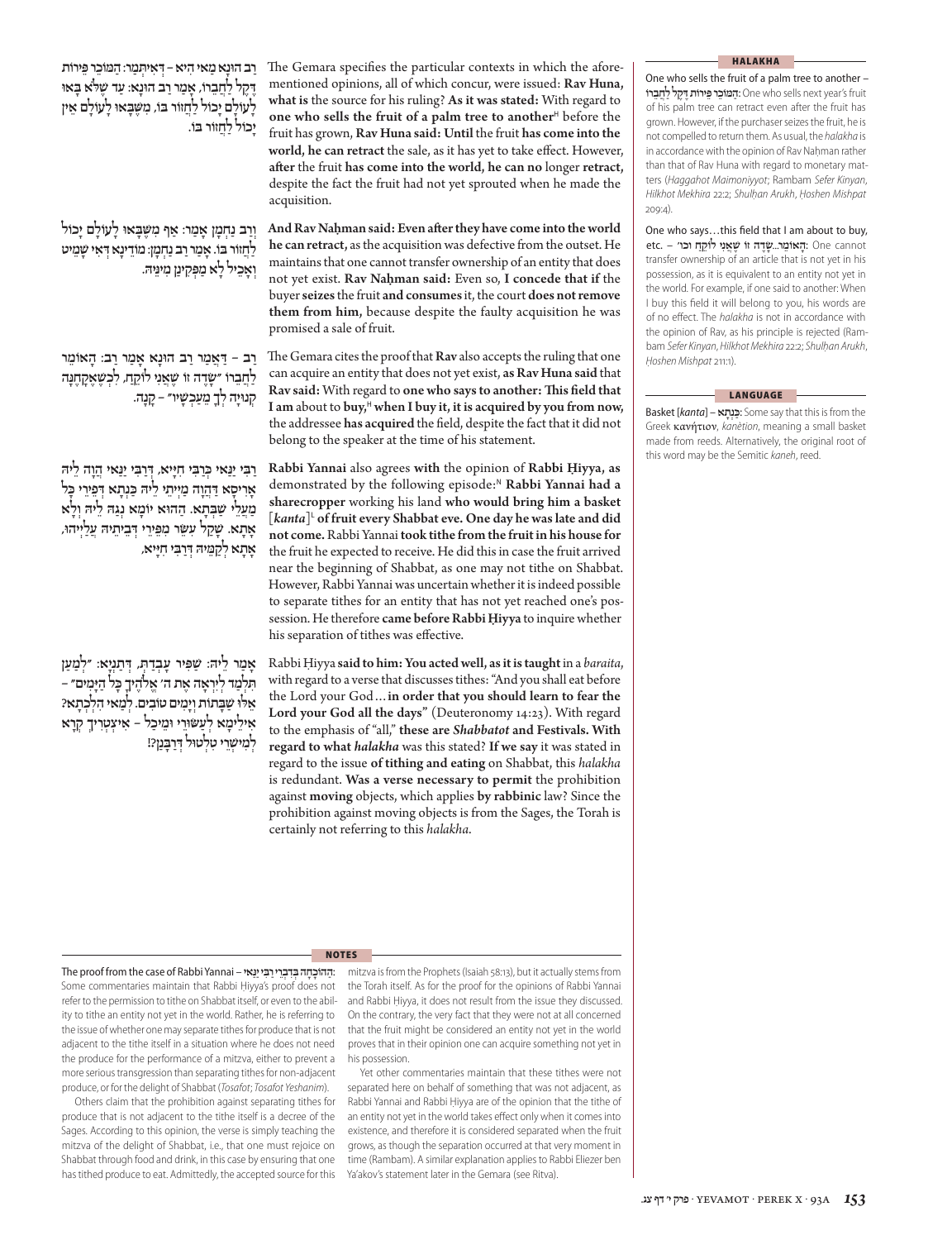**ַרב ּהוָנא ַמאי ִהיא – ְ ּד ִא ְּיתַמר: ַה ּמ ֵוֹכר ֵּפירוֹת ֶּדֶקל ַלֲחֵברוֹ, ָאַמרַרב ּהוָנא: ַעד ֶׁשּלֹא ָּב ּאו ָל ָעוֹלםָיכוֹל ַלֲחזוֹר ּבוֹ, ִמֶּׁשָּב ּאו ָל ָעוֹלם ֵאין ָיכוֹל ַלֲחזוֹר ּבוֹ.** 

**ְוַרב ַנ ְחָמן ָאַמר: ַאף ִמֶּׁשָּב ּאו ָל ָעוֹלם ָיכוֹל ַלֲחזוֹר ּבוֹ. ָאַמרַרבַנ ְחָמן: ֵמוֹד ָינא ְ ּד ִאי ָׁשֵמיט ְוָאֵכיל ָלא ַמְּפ ִק ַינן ִמ ֵּינ ּיה.**

**ַרב – ַּדֲאַמרַרב ּהוָנא ָאַמרַרב: ָה ֵאוֹמר ַלֲחֵברוֹ ָׂ״שֶדה זוֹ ֶׁשֲאִני ֵלוֹקח, ִל ְכֶׁשֶאָקֶחָּנה ְק ּנוָיה ְלָך ֵמַע ְכָׁשיו״ – ָקָנה.**

**ּכַרִּבי ִחָיּיא, ְ ּדַרִּבי ַיַּנאי ֲהָוה ֵל ּיה ַרִּבי ַיַּנאי ְ ּכל ּכְנָתא ְ ּדֵפֵירי ָ ָאִר ָיסא ַּדֲהָוה ַמְי ֵיתי ֵל ּיה ַ ַמֲעֵלי ַׁשְּבָתא. ַה ּהוא ָ יוֹמא ְנַג ּה ֵל ּיה ְוָלא ָאָתא. ָׁשַקל ִע ֵּׂשר ִמֵּפֵירי ְ ּדֵב ֵית ּיה ֲעַלְי ּ יהו, ָאָתא ְלַק ֵּמ ּיה ְ ּדַרִּבי ִחָיּיא,**

**ָאַמר ֵל ּיה: ַׁשִּפיר ָע ְבַד ְּת, ְ ּדַתְנָיא: ְ״לַמַען ּכל ַהָיּ ִמים״ – ִּתְלַמד ְלִיְרָאה ֶאת ה׳ֱאלֶֹה ָיך ָ ֵא ּלּו ַׁשָּבתוֹת ְוָי ִמים ִטוֹבים. ְלַמאי ִה ְל ְכָתא? ִא ֵיל ָימא ְלַע ּ ׂשּוֵרי ּוֵמ ַיכל – ִא ְיצ ְטִר ְיך ְקָרא ְל ִמ ׁ ְ ישֵרי ִט ְל ּטול ְ ּדַרָּבַנן?!**

The Gemara specifies the particular contexts in which the aforementioned opinions, all of which concur, were issued: **Rav Huna, what is** the source for his ruling? **As it was stated:** With regard to one who sells the fruit of a palm tree to another<sup>H</sup> before the fruit has grown, **Rav Huna said: Until** the fruit **has come into the**  world, he can retract the sale, as it has yet to take effect. However, **aft er** the fruit **has come into the world, he can no** longer **retract,**  despite the fact the fruit had not yet sprouted when he made the acquisition.

**And Rav Naĥman said: Even aft er they have come into the world he can retract,** as the acquisition was defective from the outset. He maintains that one cannot transfer ownership of an entity that does not yet exist. **Rav Naĥman said:** Even so, **I concede that if** the buyer **seizes** the fruit **and consumes** it, the court **does not remove them from him,** because despite the faulty acquisition he was promised a sale of fruit.

The Gemara cites the proof that Rav also accepts the ruling that one can acquire an entity that does not yet exist, **as Rav Huna said** that **Rav said:** With regard to **one who says to another: Th is fi eld that**  I am about to buy,<sup>H</sup> when I buy it, it is acquired by you from now, the addressee has acquired the field, despite the fact that it did not belong to the speaker at the time of his statement.

**Rabbi Yannai** also agrees **with** the opinion of **Rabbi Ĥiyya, as**  demonstrated by the following episode:<sup>N</sup> Rabbi Yannai had a **sharecropper** working his land **who would bring him a basket [***kanta***]**<sup>L</sup>**of fruit every Shabbat eve. One day he was late and did not come.** Rabbi Yannai **took tithe from the fruit in his house for**  the fruit he expected to receive. He did this in case the fruit arrived near the beginning of Shabbat, as one may not tithe on Shabbat. However, Rabbi Yannai was uncertain whether it is indeed possible to separate tithes for an entity that has not yet reached one's possession. He therefore **came before Rabbi Ĥiyya** to inquire whether his separation of tithes was effective.

Rabbi Ĥiyya **said to him: You acted well, as it is taught** in a *baraita*, with regard to a verse that discusses tithes: "And you shall eat before the Lord your God…**in order that you should learn to fear the**  Lord your God all the days" (Deuteronomy 14:23). With regard to the emphasis of "all," **these are** *Shabbatot* **and Festivals. With regard to what** *halakha* was this stated? **If we say** it was stated in regard to the issue **of tithing and eating** on Shabbat, this *halakha* is redundant. **Was a verse necessary to permit** the prohibition against **moving** objects, which applies **by rabbinic** law? Since the prohibition against moving objects is from the Sages, the Torah is certainly not referring to this *halakha*.

 One who sells the fruit of a palm tree to another – fruit s'year next sells who One **ַ**:**ה ּמ ֵוֹכר ֵּפירוֹתֶּדֶקל ַלֲחֵברוֹ** of his palm tree can retract even after the fruit has grown. However, if the purchaser seizes the fruit, he is not compelled to return them. As usual, the *halakha* is in accordance with the opinion of Ray Nahman rather than that of Rav Huna with regard to monetary matters (*Haggahot Maimoniyyot*; Rambam *Sefer Kinyan*, *Hilkhot Mekhira* 22:2; *Shulĥan Arukh*, *Ĥoshen Mishpat* 209:4).

**HALAKHA**

 One who says…this field that I am about to buy, cannot One **ָ**:**ה ֵאוֹמר...ָׂשֶדה זוֹ ֶׁשֲאִני ֵלוֹקח וכו׳** – .etc transfer ownership of an article that is not yet in his possession, as it is equivalent to an entity not yet in the world. For example, if one said to another: When I buy this field it will belong to you, his words are of no effect. The *halakha* is not in accordance with the opinion of Rav, as his principle is rejected (Rambam *Sefer Kinyan*, *Hilkhot Mekhira* 22:2; *Shulĥan Arukh*, *Ĥoshen Mishpat* 211:1).

## **LANGUAGE**

 Basket [*kanta*] – **תאָנְכַּ**: Some say that this is from the Greek κανήτιον, *kanètion*, meaning a small basket made from reeds. Alternatively, the original root of this word may be the Semitic *kaneh*, reed.

#### **NOTES**

**The proof from the case of Rabbi Yannai –** *יההוֹכְחה בּדברי* **רבּי ינאי** Some commentaries maintain that Rabbi Ḥiyya's proof does not refer to the permission to tithe on Shabbat itself, or even to the ability to tithe an entity not yet in the world. Rather, he is referring to the issue of whether one may separate tithes for produce that is not adjacent to the tithe itself in a situation where he does not need the produce for the performance of a mitzva, either to prevent a more serious transgression than separating tithes for non-adjacent produce, or for the delight of Shabbat (*Tosafot*; *Tosafot Yeshanim*).

Others claim that the prohibition against separating tithes for produce that is not adjacent to the tithe itself is a decree of the Sages. According to this opinion, the verse is simply teaching the mitzva of the delight of Shabbat, i.e., that one must rejoice on Shabbat through food and drink, in this case by ensuring that one has tithed produce to eat. Admittedly, the accepted source for this mitzva is from the Prophets (Isaiah 58:13), but it actually stems from the Torah itself. As for the proof for the opinions of Rabbi Yannai and Rabbi Hiyya, it does not result from the issue they discussed. On the contrary, the very fact that they were not at all concerned that the fruit might be considered an entity not yet in the world proves that in their opinion one can acquire something not yet in his possession.

Yet other commentaries maintain that these tithes were not separated here on behalf of something that was not adjacent, as Rabbi Yannai and Rabbi Ḥiyya are of the opinion that the tithe of an entity not yet in the world takes effect only when it comes into existence, and therefore it is considered separated when the fruit grows, as though the separation occurred at that very moment in time (Rambam). A similar explanation applies to Rabbi Eliezer ben Ya'akov's statement later in the Gemara (see Ritva).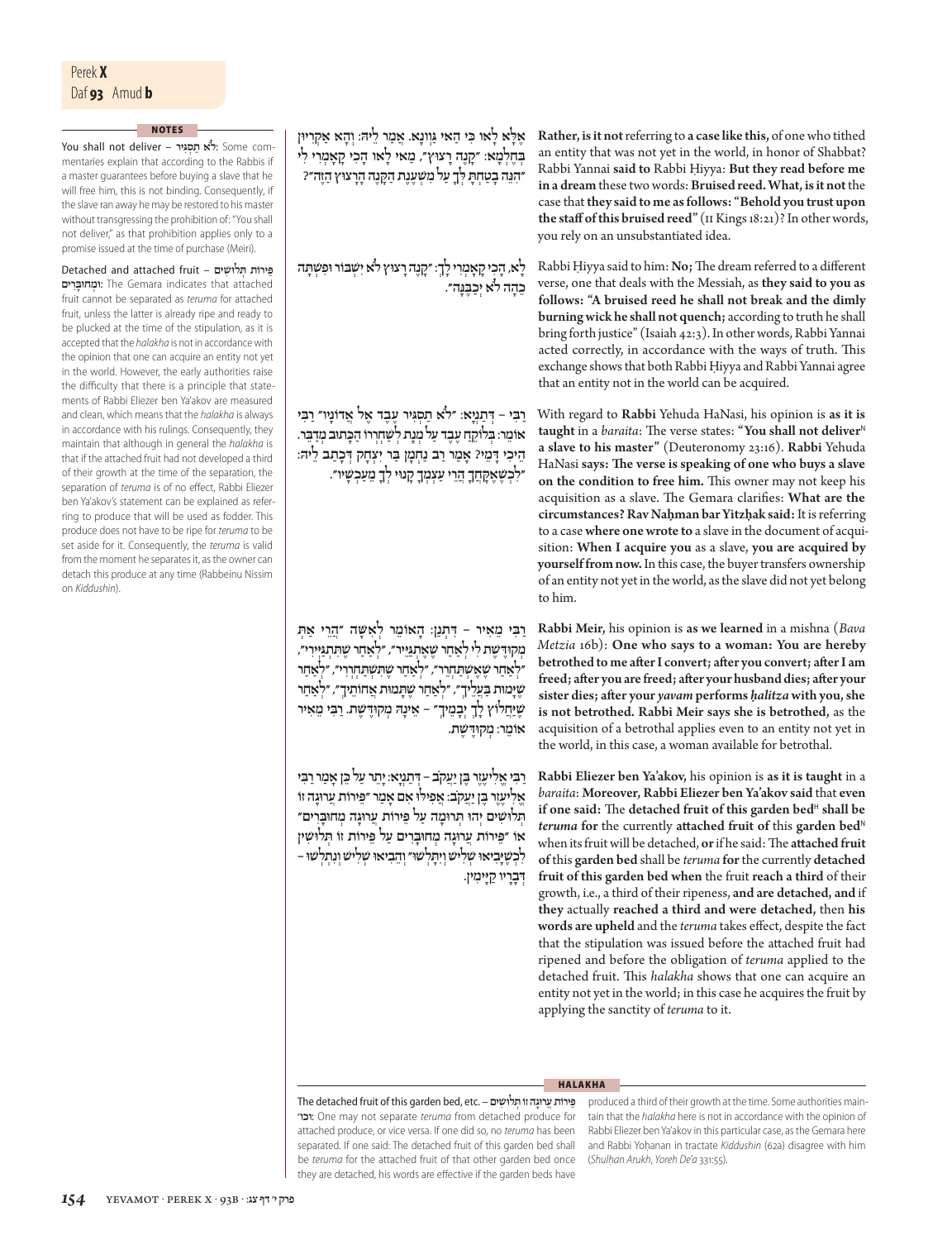# Perek **X** Daf **93** Amud **b**

#### **NOTES**

 You shall not deliver – **גירִּסְתַ אֹל**: Some commentaries explain that according to the Rabbis if a master guarantees before buying a slave that he will free him, this is not binding. Consequently, if the slave ran away he may be restored to his master without transgressing the prohibition of: "You shall not deliver," as that prohibition applies only to a promise issued at the time of purchase (Meiri).

**ֵּפירוֹת ְּת ּלו ׁ ִשים** – fruit attached and Detached attached that indicates Gemara The **ּ**:**ו ְמ ּחוָּבִרים** fruit cannot be separated as *teruma* for attached fruit, unless the latter is already ripe and ready to be plucked at the time of the stipulation, as it is accepted that the *halakha* is not in accordance with the opinion that one can acquire an entity not yet in the world. However, the early authorities raise the difficulty that there is a principle that statements of Rabbi Eliezer ben Ya'akov are measured and clean, which means that the *halakha* is always in accordance with his rulings. Consequently, they maintain that although in general the *halakha* is that if the attached fruit had not developed a third of their growth at the time of the separation, the separation of *teruma* is of no effect, Rabbi Eliezer ben Ya'akov's statement can be explained as referring to produce that will be used as fodder. This produce does not have to be ripe for *teruma* to be set aside for it. Consequently, the *teruma* is valid from the moment he separates it, as the owner can detach this produce at any time (Rabbeinu Nissim on *Kiddushin*).

**ּכי ַהאי ַּגְו ָונא. ֲאַמר ֵל ּיה: ְוָהא ַא ְקִר ּיון ֶאָּלא ָלאו ִ ְּבֶח ְלָמא: ָ״קֶנהָר ּצוץ״, ַמאי ָלאו ָה ִכי ָקָא ְמִרי ִלי ִ״הֵּנה ָבַט ְח ָּת ְּלָך ַעל ִמׁ ְשֶעֶנת ַהָּקֶנה ָהָר ּצוץ ַהֶזּה״?** 

**ָלא, ָה ִכיָקָא ְמִרי ָל ְך: ָ״קֶנהָר ּצוץ לֹא ִיׁ ְש ּבוֹר ּו ִפׁ ְשָּתה ֵכָהה לֹא ְיַכֶּבָּנה״.**

**ַרִּבי – ְ ּדַתְנָיא: ״לֹא ַתְסִּגיר ֶעֶבד ֶאל ֲא ָדוֹניו״ַרִּבי ּכ ּתוב ְמַדֵּבר. ֵאוֹמר: ְּב ֵלוֹקח ֶעֶבד ַעל ְמָנת ְל ַׁש ְחְררוֹ ַהָ ֵה ִיכי ָּדֵמי? ָאַמרַרב ַנ ְחָמן ַּבר ִי ְצָחק ְ ּדָכַתב ֵל ּיה: ִ״ל ְכֶׁשֶאָּקֲחָך ֲהֵרי ַע ְצ ְמָך ָק ּנוי ְלָך ֵמַע ְכָׁשיו״.**

**ַרִּבי ֵמ ִאיר – ִ ּד ְתַנן: ָה ֵאוֹמר ְל ִא ָּׁשה ֲ״הֵרי ַא ְּת ְמ ּקוֶּד ֶׁשת ִלי ְלַאַחר ֶׁשֶא ְתַּגֵיּיר״, ְ״לַאַחר ֶׁשִּת ְתַּגְיּ ִירי״, ְ״לַאַחר ֶׁשֶאׁ ְשַּת ְחֵרר״, ְ״לַאַחר ֶׁשִּתׁ ְשַּת ְחְרִרי״, ְ״לַאַחר ֶׁשָיּ ּמות ַּבֲעֵל ְיך״, ְ״לַאַחר ֶׁשָּת ּמותֲא ֵחוֹת ְיך״, ְ״לַאַחר ֶׁשַיֲּחלוֹץ ָל ְך ְיָבֵמ ְיך״ – ֵא ָינ ּה ְמ ּקוֶּד ֶׁשת. ַרִּבי ֵמ ִאיר ֵאוֹמר: ְמ ּקוֶּד ֶׁשת.**

**ּכן ָאַמרַרִּבי ַרִּביֱאִל ֶיעֶזרֶּבןַיֲעקֹב – ְ ּדַתְנָיא: ָיֵתר ַעל ֵ ֱאִל ֶיעֶזרֶּבןַיֲעקֹב: ֲא ִפ ּילּו ִאם ָאַמר ֵּ״פירוֹתֲע ּרוָגה זוֹ ְּת ּלו ׁ ִשים ְי ּהו ְּת ּרוָמה ַעל ֵּפירוֹת ֲע ּרוָגה ְמ ּחוָּבִרים״ אוֹ ֵּ״פירוֹת ֲע ּרוָגה ְמ ּחוָּבִרים ַעל ֵּפירוֹת זוֹ ְּת ּלו ׁ ִשין ִל ְכֶׁשָיּ ִב ּ יאו ׁ ְשִל ׁישְוִי ָּתְל ׁשּו״ְוֵה ִב ּ יאו ׁ ְשִל ׁישְוִנְתְל ׁשּו – ְ ּדָבָריו ַקָיּ ִימין.** **Rather, is it not** referring to **a case like this,** of one who tithed an entity that was not yet in the world, in honor of Shabbat? Rabbi Yannai **said to** Rabbi Ĥiyya: **But they read before me in a dream** these two words: **Bruised reed. What, is it not** the case that **they said to me as follows: "Behold you trust upon**  the staff of this bruised reed" (II Kings 18:21)? In other words, you rely on an unsubstantiated idea.

Rabbi Hiyya said to him: No; The dream referred to a different verse, one that deals with the Messiah, as **they said to you as follows: "A bruised reed he shall not break and the dimly burning wick he shall not quench;** according to truth he shall bring forth justice" (Isaiah 42:3). In other words, Rabbi Yannai acted correctly, in accordance with the ways of truth. This exchange shows that both Rabbi Hiyya and Rabbi Yannai agree that an entity not in the world can be acquired.

With regard to **Rabbi** Yehuda HaNasi, his opinion is **as it is**  taught in a *baraita*: The verse states: "You shall not deliver" a slave to his master" (Deuteronomy 23:16). Rabbi Yehuda HaNasi **says: Th e verse is speaking of one who buys a slave**  on the condition to free him. This owner may not keep his acquisition as a slave. The Gemara clarifies: What are the **circumstances? Rav Naĥman bar Yitzĥak said:** It is referring to a case **where one wrote to** a slave in the document of acquisition: **When I acquire you** as a slave, **you are acquired by yourself from now.** In this case, the buyer transfers ownership of an entity not yet in the world, as the slave did not yet belong to him.

**Rabbi Meir,** his opinion is **as we learned** in a mishna (*Bava Metzia* 16b): One who says to a woman: You are hereby **betrothed to me aft er I convert; aft er you convert; aft er I am freed; aft er you are freed; aft er your husband dies; aft er your sister dies; aft er your** *yavam* **performs** *ĥalitza* **with you, she is not betrothed. Rabbi Meir says she is betrothed,** as the acquisition of a betrothal applies even to an entity not yet in the world, in this case, a woman available for betrothal.

**Rabbi Eliezer ben Ya'akov,** his opinion is **as it is taught** in a *baraita*: **Moreover, Rabbi Eliezer ben Ya'akov said** that **even if one said:** The detached fruit of this garden bed<sup>H</sup> shall be **teruma** for the currently attached fruit of this garden bed<sup>N</sup> when its fruit will be detached, or if he said: The attached fruit **of** this **garden bed** shall be *teruma* **for** the currently **detached fruit of this garden bed when** the fruit **reach a third** of their growth, i.e., a third of their ripeness, **and are detached, and** if **they** actually **reached a third and were detached,** then **his**  words are upheld and the *teruma* takes effect, despite the fact that the stipulation was issued before the attached fruit had ripened and before the obligation of *teruma* applied to the detached fruit. This *halakha* shows that one can acquire an entity not yet in the world; in this case he acquires the fruit by applying the sanctity of *teruma* to it.

#### **HALAKHA**

**ֵּפירוֹתֲע ּרוָגה זוֹ ְּת ּלוׁ ִשים** – .etc ,bed garden this of fruit detached The **וכו׳**: One may not separate *teruma* from detached produce for attached produce, or vice versa. If one did so, no *teruma* has been separated. If one said: The detached fruit of this garden bed shall be *teruma* for the attached fruit of that other garden bed once they are detached, his words are effective if the garden beds have

produced a third of their growth at the time. Some authorities maintain that the *halakha* here is not in accordance with the opinion of Rabbi Eliezer ben Ya'akov in this particular case, as the Gemara here and Rabbi Yoĥanan in tractate *Kiddushin* (62a) disagree with him (*Shulĥan Arukh*, *Yoreh De'a* 331:55).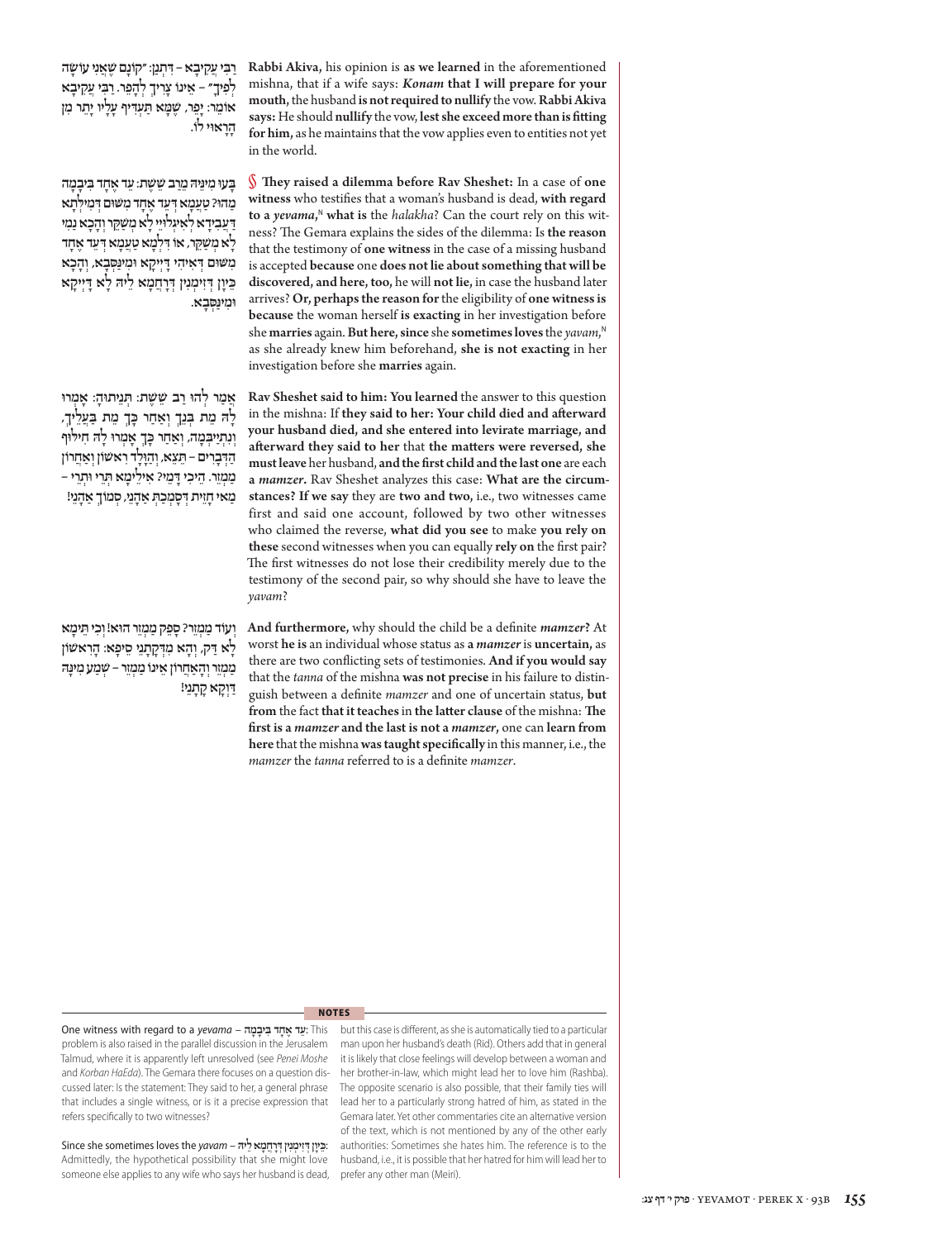**ַרִּביֲעִק ָיבא – ִ ּד ְתַנן: ָ ״קוֹנם ֶׁשֲאִני ָׂ עוֹשה ְל ִפ ָיך״ – ֵאינוֹ ָצִר ְיך ְלָהֵפר. ַרִּביֲעִק ָיבא ֵאוֹמר: ָיֵפר, ֶׁשָּמא ַּתְעִ ּדיף ָעָליו ָיֵתר ִמן ָהָר ּאוי לוֹ.**

**ָּב ּעו ִמ ֵּינ ּיה ֵמַרב ֵׁשֶׁשת: ֵעד ֶאָחד ִּב ָיבָמה ַמ ּהו? ַטֲעָמא ְ ּדֵעד ֶאָחד ִמּׁשּום ְ ּד ִמ ְּילָתא ַּדֲע ִבָידא ְל ִא ְיג ּלוֵיי ָלא ְמַׁשֵּקרְוָהָכאַנִמי ָלא ְמַׁשֵּקר, אוֹ ִ ּד ְלָמא ַטֲעָמא ְ ּדֵעד ֶאָחד ִמּׁשּום ְ ּד ִא ִיהי ָּדְי ָיקא ּו ִמ ַּינְּסָבא, ְוָהָכא ּכָיון ְ ּדִז ְימִנין ְ ּדָרֲחָמא ֵל ּיה ָלא ָּדְי ָיקא ֵ ּו ִמ ַּינְּסָבא.**

**ֲאַמר ְל ּהו ַרב ֵׁשֶׁשת: ְּתֵנ ּ יתוָה: ָא ְמ ּרו ּכ ְך ֵמת ַּבֲעֵל ְיך, ָל ּה ֵמת ְּבֵנ ְך ְוַאַחר ָ ּכ ְך ָא ְמ ּרו ָל ּה ִח ּילּוף ְוִנְתַי ְּיבָמה, ְוַאַחר ָ ַהְ ּדָבִרים – ֵּתֵצא, ְוַהָּוָלד ִר ׁאשוֹן ְוַאֲחרוֹן ַמ ְמֵזר. ֵה ִיכיָּדֵמי? ִא ֵיל ָימא ְּתֵרי ּו ְתֵרי – ַמאי ָחֵזית ְ ּדָס ְמַכ ְּת ַאָהֵני, ְס ְמוֹך ַאָהֵני!**

**ְועוֹד ַמ ְמֵזר? ָסֵפק ַמ ְמֵזר ּהוא! ְו ִכי ֵּת ָימא ָלא ַּדק, ְוָהא ִמְ ּדָקָתֵני ֵס ָיפא: ָהִר ׁאשוֹן ַמ ְמֵזרְוָהַאֲחרוֹן ֵאינוֹ ַמ ְמֵזר – ׁ ְשַמע ִמ ָּינ ּה ַּדְוָקא ָקָתֵני!** **Rabbi Akiva,** his opinion is **as we learned** in the aforementioned mishna, that if a wife says: *Konam* **that I will prepare for your mouth,** the husband **is not required to nullify** the vow. **Rabbi Akiva says:** He should **nullify** the vow, **lest she exceed more than is fitt ing for him,** as he maintains that the vow applies even to entities not yet in the world.

§ **Th ey raised a dilemma before Rav Sheshet:** In a case of **one**  witness who testifies that a woman's husband is dead, with regard **to a** *yevama***,** <sup>N</sup>**what is** the *halakha*? Can the court rely on this witness? The Gemara explains the sides of the dilemma: Is the reason that the testimony of **one witness** in the case of a missing husband is accepted **because** one **does not lie about something that will be discovered, and here, too,** he will **not lie,** in case the husband later arrives? **Or, perhaps the reason for** the eligibility of **one witness is because** the woman herself **is exacting** in her investigation before she **marries** again. **But here, since** she **sometimes loves** the *yavam*, N as she already knew him beforehand, **she is not exacting** in her investigation before she **marries** again.

**Rav Sheshet said to him: You learned** the answer to this question in the mishna: If they said to her: Your child died and afterward **your husband died, and she entered into levirate marriage, and aft erward they said to her** that **the matt ers were reversed, she must leave** her husband, **and the fi rst child and the last one** are each **a** *mamzer***.** Rav Sheshet analyzes this case: **What are the circumstances? If we say** they are **two and two,** i.e., two witnesses came first and said one account, followed by two other witnesses who claimed the reverse, **what did you see** to make **you rely on**  these second witnesses when you can equally rely on the first pair? The first witnesses do not lose their credibility merely due to the testimony of the second pair, so why should she have to leave the *yavam*?

And furthermore, why should the child be a definite *mamzer*? At worst **he is** an individual whose status as **a** *mamzer* is **uncertain,** as there are two conflicting sets of testimonies. And if you would say that the *tanna* of the mishna **was not precise** in his failure to distinguish between a definite *mamzer* and one of uncertain status, but **from** the fact **that it teaches** in **the latt er clause** of the mishna: **Th e fi rst is a** *mamzer* **and the last is not a** *mamzer***,** one can **learn from here** that the mishna **was taught specifi cally** in this manner, i.e., the *mamzer* the *tanna* referred to is a definite *mamzer*.

#### **NOTES**

 One witness with regard to a *yevama* – **מהָיבָ בִּ חדָאֶ עדֵ**: This problem is also raised in the parallel discussion in the Jerusalem Talmud, where it is apparently left unresolved (see *Penei Moshe* and *Korban HaEda*). The Gemara there focuses on a question discussed later: Is the statement: They said to her, a general phrase that includes a single witness, or is it a precise expression that refers specifically to two witnesses?

**ֹּבֵּיוַן דְּזִימִנִּין דְּדְזִמְנִין** בְּרָחֲ**מָא** לֵ**יה** – Since she sometimes loves the *yavam* Admittedly, the hypothetical possibility that she might love someone else applies to any wife who says her husband is dead,

but this case is different, as she is automatically tied to a particular man upon her husband's death (Rid). Others add that in general it is likely that close feelings will develop between a woman and her brother-in-law, which might lead her to love him (Rashba). The opposite scenario is also possible, that their family ties will lead her to a particularly strong hatred of him, as stated in the Gemara later. Yet other commentaries cite an alternative version of the text, which is not mentioned by any of the other early authorities: Sometimes she hates him. The reference is to the husband, i.e., it is possible that her hatred for him will lead her to prefer any other man (Meiri).